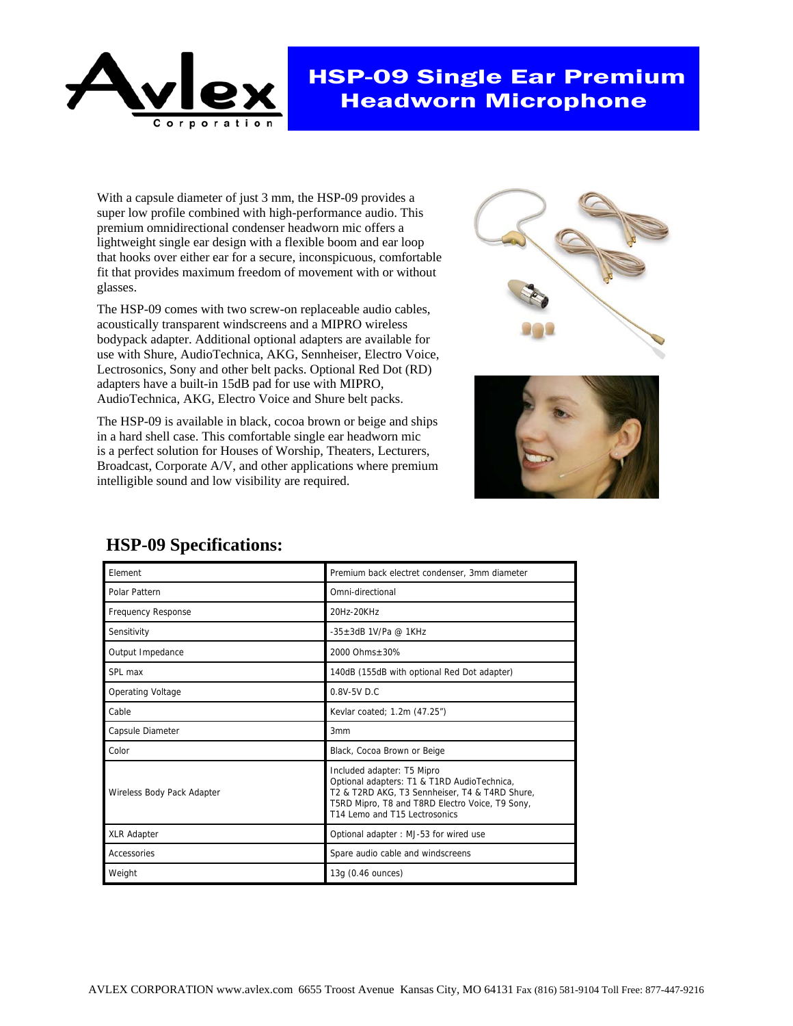

## HSP-09 Single Ear Premium Headworn Microphone

With a capsule diameter of just 3 mm, the HSP-09 provides a super low profile combined with high-performance audio. This premium omnidirectional condenser headworn mic offers a lightweight single ear design with a flexible boom and ear loop that hooks over either ear for a secure, inconspicuous, comfortable fit that provides maximum freedom of movement with or without glasses.

The HSP-09 comes with two screw-on replaceable audio cables, acoustically transparent windscreens and a MIPRO wireless bodypack adapter. Additional optional adapters are available for use with Shure, AudioTechnica, AKG, Sennheiser, Electro Voice, Lectrosonics, Sony and other belt packs. Optional Red Dot (RD) adapters have a built-in 15dB pad for use with MIPRO, AudioTechnica, AKG, Electro Voice and Shure belt packs.

The HSP-09 is available in black, cocoa brown or beige and ships in a hard shell case. This comfortable single ear headworn mic is a perfect solution for Houses of Worship, Theaters, Lecturers, Broadcast, Corporate A/V, and other applications where premium intelligible sound and low visibility are required.





| Element                    | Premium back electret condenser, 3mm diameter                                                                                                                                                                   |
|----------------------------|-----------------------------------------------------------------------------------------------------------------------------------------------------------------------------------------------------------------|
| Polar Pattern              | Omni-directional                                                                                                                                                                                                |
| <b>Frequency Response</b>  | 20Hz-20KHz                                                                                                                                                                                                      |
| Sensitivity                | $-35+3$ dB 1V/Pa @ 1KHz                                                                                                                                                                                         |
| Output Impedance           | 2000 Ohms+30%                                                                                                                                                                                                   |
| SPL max                    | 140dB (155dB with optional Red Dot adapter)                                                                                                                                                                     |
| <b>Operating Voltage</b>   | 0.8V-5V D.C                                                                                                                                                                                                     |
| Cable                      | Kevlar coated; 1.2m (47.25")                                                                                                                                                                                    |
| Capsule Diameter           | 3 <sub>mm</sub>                                                                                                                                                                                                 |
| Color                      | Black, Cocoa Brown or Beige                                                                                                                                                                                     |
| Wireless Body Pack Adapter | Included adapter: T5 Mipro<br>Optional adapters: T1 & T1RD AudioTechnica,<br>T2 & T2RD AKG, T3 Sennheiser, T4 & T4RD Shure,<br>T5RD Mipro, T8 and T8RD Electro Voice, T9 Sony,<br>T14 Lemo and T15 Lectrosonics |
| <b>XLR Adapter</b>         | Optional adapter: MJ-53 for wired use                                                                                                                                                                           |
| Accessories                | Spare audio cable and windscreens                                                                                                                                                                               |
| Weight                     | 13g (0.46 ounces)                                                                                                                                                                                               |

## **HSP-09 Specifications:**